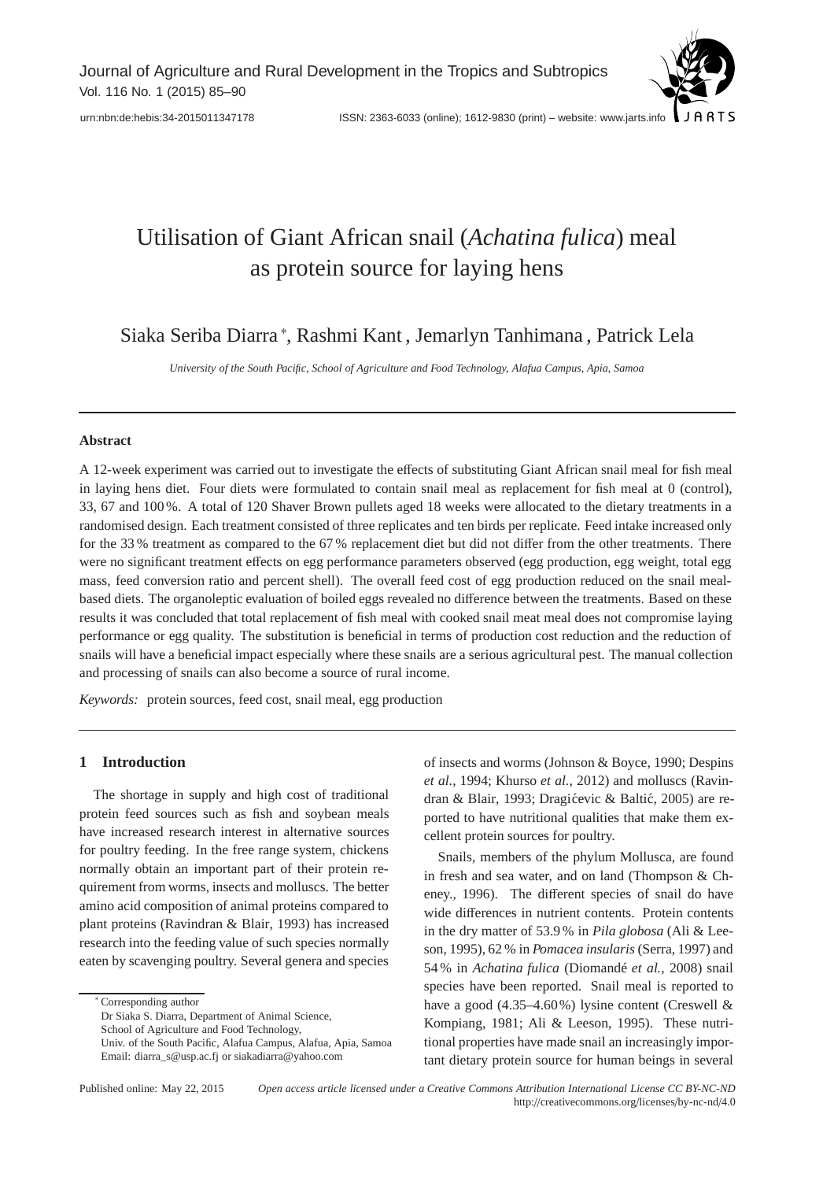# Utilisation of Giant African snail (*Achatina fulica*) meal as protein source for laying hens

Siaka Seriba Diarra <sup>∗</sup> , Rashmi Kant , Jemarlyn Tanhimana , Patrick Lela

*University of the South Pacific, School of Agriculture and Food Technology, Alafua Campus, Apia, Samoa*

## **Abstract**

A 12-week experiment was carried out to investigate the effects of substituting Giant African snail meal for fish meal in laying hens diet. Four diets were formulated to contain snail meal as replacement for fish meal at 0 (control), 33, 67 and 100 %. A total of 120 Shaver Brown pullets aged 18 weeks were allocated to the dietary treatments in a randomised design. Each treatment consisted of three replicates and ten birds per replicate. Feed intake increased only for the 33 % treatment as compared to the 67 % replacement diet but did not differ from the other treatments. There were no significant treatment effects on egg performance parameters observed (egg production, egg weight, total egg mass, feed conversion ratio and percent shell). The overall feed cost of egg production reduced on the snail mealbased diets. The organoleptic evaluation of boiled eggs revealed no difference between the treatments. Based on these results it was concluded that total replacement of fish meal with cooked snail meat meal does not compromise laying performance or egg quality. The substitution is beneficial in terms of production cost reduction and the reduction of snails will have a beneficial impact especially where these snails are a serious agricultural pest. The manual collection and processing of snails can also become a source of rural income.

*Keywords:* protein sources, feed cost, snail meal, egg production

# **1 Introduction**

The shortage in supply and high cost of traditional protein feed sources such as fish and soybean meals have increased research interest in alternative sources for poultry feeding. In the free range system, chickens normally obtain an important part of their protein requirement from worms, insects and molluscs. The better amino acid composition of animal proteins compared to plant proteins (Ravindran & Blair, 1993) has increased research into the feeding value of such species normally eaten by scavenging poultry. Several genera and species

∗ Corresponding author

Dr Siaka S. Diarra, Department of Animal Science,

School of Agriculture and Food Technology,

of insects and worms (Johnson & Boyce, 1990; Despins *et al.*, 1994; Khurso *et al.*, 2012) and molluscs (Ravindran & Blair, 1993; Dragićevic & Baltić, 2005) are reported to have nutritional qualities that make them excellent protein sources for poultry.

Snails, members of the phylum Mollusca, are found in fresh and sea water, and on land (Thompson & Cheney., 1996). The different species of snail do have wide differences in nutrient contents. Protein contents in the dry matter of 53.9 % in *Pila globosa* (Ali & Leeson, 1995), 62 % in *Pomacea insularis* (Serra, 1997) and 54 % in *Achatina fulica* (Diomandé *et al.*, 2008) snail species have been reported. Snail meal is reported to have a good (4.35–4.60%) lysine content (Creswell & Kompiang, 1981; Ali & Leeson, 1995). These nutritional properties have made snail an increasingly important dietary protein source for human beings in several

Published online: May 22, 2015 *Open access article licensed under a Creative Commons Attribution International License CC BY-NC-ND* http://creativecommons.org/licenses/by-nc-nd/4.0

Univ. of the South Pacific, Alafua Campus, Alafua, Apia, Samoa Email: diarra\_s@usp.ac.fj or siakadiarra@yahoo.com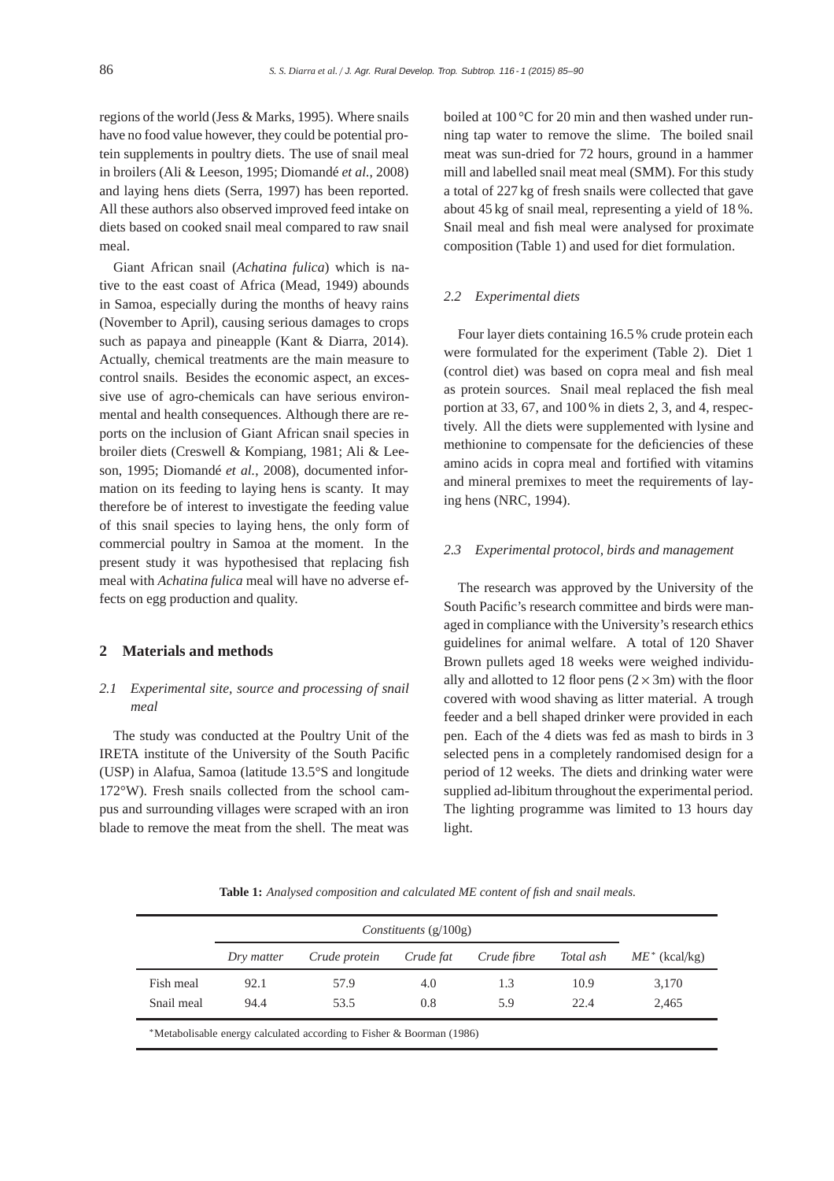regions of the world (Jess & Marks, 1995). Where snails have no food value however, they could be potential protein supplements in poultry diets. The use of snail meal in broilers (Ali & Leeson, 1995; Diomandé *et al.*, 2008) and laying hens diets (Serra, 1997) has been reported. All these authors also observed improved feed intake on diets based on cooked snail meal compared to raw snail meal.

Giant African snail (*Achatina fulica*) which is native to the east coast of Africa (Mead, 1949) abounds in Samoa, especially during the months of heavy rains (November to April), causing serious damages to crops such as papaya and pineapple (Kant & Diarra, 2014). Actually, chemical treatments are the main measure to control snails. Besides the economic aspect, an excessive use of agro-chemicals can have serious environmental and health consequences. Although there are reports on the inclusion of Giant African snail species in broiler diets (Creswell & Kompiang, 1981; Ali & Leeson, 1995; Diomandé *et al.*, 2008), documented information on its feeding to laying hens is scanty. It may therefore be of interest to investigate the feeding value of this snail species to laying hens, the only form of commercial poultry in Samoa at the moment. In the present study it was hypothesised that replacing fish meal with *Achatina fulica* meal will have no adverse effects on egg production and quality.

# **2 Materials and methods**

# *2.1 Experimental site, source and processing of snail meal*

The study was conducted at the Poultry Unit of the IRETA institute of the University of the South Pacific (USP) in Alafua, Samoa (latitude 13.5°S and longitude 172°W). Fresh snails collected from the school campus and surrounding villages were scraped with an iron blade to remove the meat from the shell. The meat was

boiled at 100 °C for 20 min and then washed under running tap water to remove the slime. The boiled snail meat was sun-dried for 72 hours, ground in a hammer mill and labelled snail meat meal (SMM). For this study a total of 227 kg of fresh snails were collected that gave about 45 kg of snail meal, representing a yield of 18 %. Snail meal and fish meal were analysed for proximate composition (Table 1) and used for diet formulation.

#### *2.2 Experimental diets*

Four layer diets containing 16.5 % crude protein each were formulated for the experiment (Table 2). Diet 1 (control diet) was based on copra meal and fish meal as protein sources. Snail meal replaced the fish meal portion at 33, 67, and 100 % in diets 2, 3, and 4, respectively. All the diets were supplemented with lysine and methionine to compensate for the deficiencies of these amino acids in copra meal and fortified with vitamins and mineral premixes to meet the requirements of laying hens (NRC, 1994).

## *2.3 Experimental protocol, birds and management*

The research was approved by the University of the South Pacific's research committee and birds were managed in compliance with the University's research ethics guidelines for animal welfare. A total of 120 Shaver Brown pullets aged 18 weeks were weighed individually and allotted to 12 floor pens  $(2 \times 3m)$  with the floor covered with wood shaving as litter material. A trough feeder and a bell shaped drinker were provided in each pen. Each of the 4 diets was fed as mash to birds in 3 selected pens in a completely randomised design for a period of 12 weeks. The diets and drinking water were supplied ad-libitum throughout the experimental period. The lighting programme was limited to 13 hours day light.

**Table 1:** *Analysed composition and calculated ME content of fish and snail meals.*

|            | Dry matter | Crude protein | Crude fat | Crude fibre | Total ash | $ME^*$ (kcal/kg) |
|------------|------------|---------------|-----------|-------------|-----------|------------------|
| Fish meal  | 92.1       | 57.9          | 4.0       | 1.3         | 10.9      | 3,170            |
| Snail meal | 94.4       | 53.5          | 0.8       | 5.9         | 22.4      | 2.465            |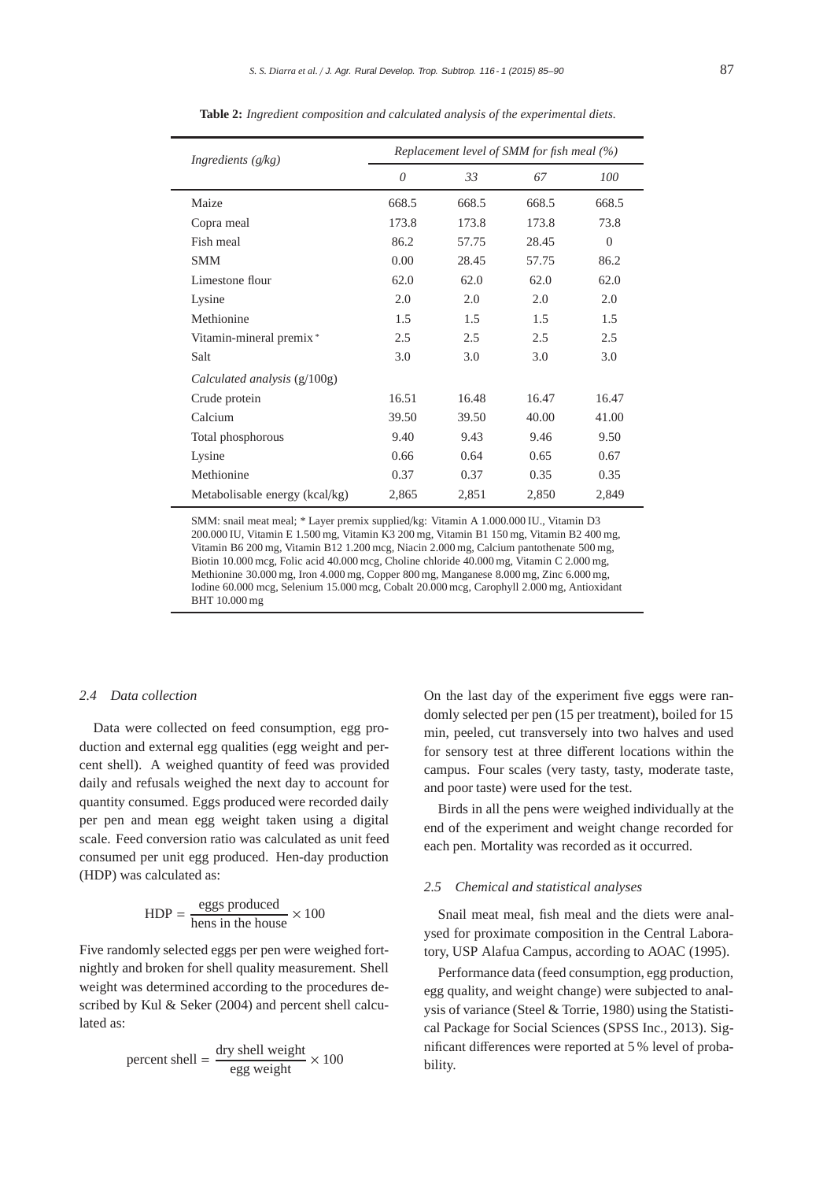| Ingredients (g/kg)             | Replacement level of SMM for fish meal (%) |       |       |                |  |  |  |
|--------------------------------|--------------------------------------------|-------|-------|----------------|--|--|--|
|                                | $\theta$                                   | 33    | 67    | 100            |  |  |  |
| Maize                          | 668.5                                      | 668.5 | 668.5 | 668.5          |  |  |  |
| Copra meal                     | 173.8                                      | 173.8 | 173.8 | 73.8           |  |  |  |
| Fish meal                      | 86.2                                       | 57.75 | 28.45 | $\overline{0}$ |  |  |  |
| SMM                            | 0.00                                       | 28.45 | 57.75 | 86.2           |  |  |  |
| Limestone flour                | 62.0                                       | 62.0  | 62.0  | 62.0           |  |  |  |
| Lysine                         | 2.0                                        | 2.0   | 2.0   | 2.0            |  |  |  |
| Methionine                     | 1.5                                        | 1.5   | 1.5   | 1.5            |  |  |  |
| Vitamin-mineral premix*        | 2.5                                        | 2.5   | 2.5   | 2.5            |  |  |  |
| Salt                           | 3.0                                        | 3.0   | 3.0   | 3.0            |  |  |  |
| Calculated analysis (g/100g)   |                                            |       |       |                |  |  |  |
| Crude protein                  | 16.51                                      | 16.48 | 16.47 | 16.47          |  |  |  |
| Calcium                        | 39.50                                      | 39.50 | 40.00 | 41.00          |  |  |  |
| Total phosphorous              | 9.40                                       | 9.43  | 9.46  | 9.50           |  |  |  |
| Lysine                         | 0.66                                       | 0.64  | 0.65  | 0.67           |  |  |  |
| Methionine                     | 0.37                                       | 0.37  | 0.35  | 0.35           |  |  |  |
| Metabolisable energy (kcal/kg) | 2,865                                      | 2,851 | 2,850 | 2,849          |  |  |  |

**Table 2:** *Ingredient composition and calculated analysis of the experimental diets.*

SMM: snail meat meal; \* Layer premix supplied/kg: Vitamin A 1.000.000 IU., Vitamin D3 200.000 IU, Vitamin E 1.500 mg, Vitamin K3 200 mg, Vitamin B1 150 mg, Vitamin B2 400 mg, Vitamin B6 200 mg, Vitamin B12 1.200 mcg, Niacin 2.000 mg, Calcium pantothenate 500 mg, Biotin 10.000 mcg, Folic acid 40.000 mcg, Choline chloride 40.000 mg, Vitamin C 2.000 mg, Methionine 30.000 mg, Iron 4.000 mg, Copper 800 mg, Manganese 8.000 mg, Zinc 6.000 mg, Iodine 60.000 mcg, Selenium 15.000 mcg, Cobalt 20.000 mcg, Carophyll 2.000 mg, Antioxidant BHT 10.000 mg

#### *2.4 Data collection*

Data were collected on feed consumption, egg production and external egg qualities (egg weight and percent shell). A weighed quantity of feed was provided daily and refusals weighed the next day to account for quantity consumed. Eggs produced were recorded daily per pen and mean egg weight taken using a digital scale. Feed conversion ratio was calculated as unit feed consumed per unit egg produced. Hen-day production (HDP) was calculated as:

$$
HDP = \frac{eggs produced}{hens in the house} \times 100
$$

Five randomly selected eggs per pen were weighed fortnightly and broken for shell quality measurement. Shell weight was determined according to the procedures described by Kul & Seker (2004) and percent shell calculated as:

$$
percent shell = \frac{dry shell weight}{egg weight} \times 100
$$

On the last day of the experiment five eggs were randomly selected per pen (15 per treatment), boiled for 15 min, peeled, cut transversely into two halves and used for sensory test at three different locations within the campus. Four scales (very tasty, tasty, moderate taste, and poor taste) were used for the test.

Birds in all the pens were weighed individually at the end of the experiment and weight change recorded for each pen. Mortality was recorded as it occurred.

#### *2.5 Chemical and statistical analyses*

Snail meat meal, fish meal and the diets were analysed for proximate composition in the Central Laboratory, USP Alafua Campus, according to AOAC (1995).

Performance data (feed consumption, egg production, egg quality, and weight change) were subjected to analysis of variance (Steel & Torrie, 1980) using the Statistical Package for Social Sciences (SPSS Inc., 2013). Significant differences were reported at 5 % level of probability.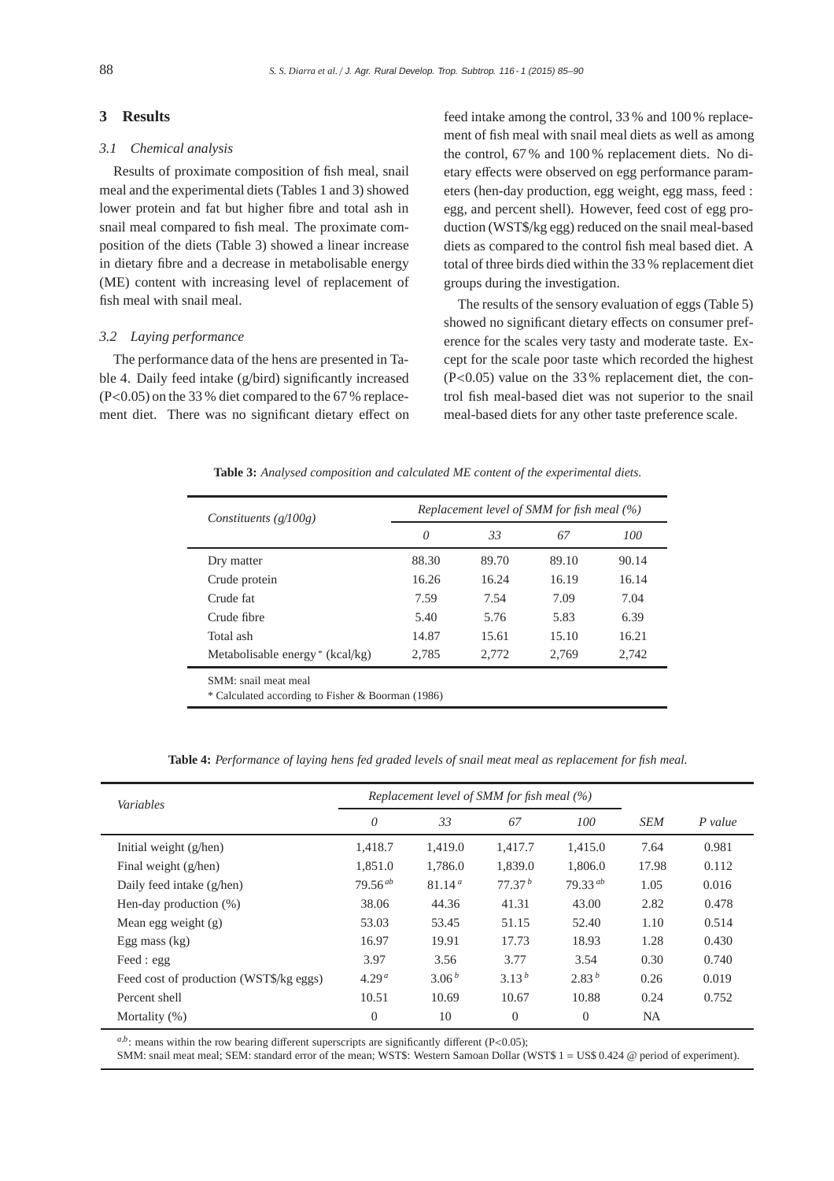## **3 Results**

## *3.1 Chemical analysis*

Results of proximate composition of fish meal, snail meal and the experimental diets (Tables 1 and 3) showed lower protein and fat but higher fibre and total ash in snail meal compared to fish meal. The proximate composition of the diets (Table 3) showed a linear increase in dietary fibre and a decrease in metabolisable energy (ME) content with increasing level of replacement of fish meal with snail meal.

## *3.2 Laying performance*

The performance data of the hens are presented in Table 4. Daily feed intake (g/bird) significantly increased (P<0.05) on the 33 % diet compared to the 67 % replacement diet. There was no significant dietary effect on feed intake among the control, 33 % and 100 % replacement of fish meal with snail meal diets as well as among the control, 67 % and 100 % replacement diets. No dietary effects were observed on egg performance parameters (hen-day production, egg weight, egg mass, feed : egg, and percent shell). However, feed cost of egg production (WST\$/kg egg) reduced on the snail meal-based diets as compared to the control fish meal based diet. A total of three birds died within the 33 % replacement diet groups during the investigation.

The results of the sensory evaluation of eggs (Table 5) showed no significant dietary effects on consumer preference for the scales very tasty and moderate taste. Except for the scale poor taste which recorded the highest (P<0.05) value on the 33 % replacement diet, the control fish meal-based diet was not superior to the snail meal-based diets for any other taste preference scale.

| Constituents $(g/100g)$                           | Replacement level of SMM for fish meal (%) |       |       |       |  |  |
|---------------------------------------------------|--------------------------------------------|-------|-------|-------|--|--|
|                                                   | 0                                          | 33    | 67    | 100   |  |  |
| Dry matter                                        | 88.30                                      | 89.70 | 89.10 | 90.14 |  |  |
| Crude protein                                     | 16.26                                      | 16.24 | 16.19 | 16.14 |  |  |
| Crude fat                                         | 7.59                                       | 7.54  | 7.09  | 7.04  |  |  |
| Crude fibre                                       | 5.40                                       | 5.76  | 5.83  | 6.39  |  |  |
| Total ash                                         | 14.87                                      | 15.61 | 15.10 | 16.21 |  |  |
| Metabolisable energy * (kcal/kg)                  | 2.785                                      | 2.772 | 2.769 | 2.742 |  |  |
| SMM: snail meat meal                              |                                            |       |       |       |  |  |
| * Calculated according to Fisher & Boorman (1986) |                                            |       |       |       |  |  |

**Table 3:** *Analysed composition and calculated ME content of the experimental diets.*

**Table 4:** *Performance of laying hens fed graded levels of snail meat meal as replacement for fish meal.*

| Variables                               | Replacement level of SMM for fish meal (%) |                    |                    |                   |            |           |
|-----------------------------------------|--------------------------------------------|--------------------|--------------------|-------------------|------------|-----------|
|                                         | $\theta$                                   | 33                 | 67                 | 100               | <b>SEM</b> | $P$ value |
| Initial weight (g/hen)                  | 1.418.7                                    | 1.419.0            | 1.417.7            | 1.415.0           | 7.64       | 0.981     |
| Final weight (g/hen)                    | 1,851.0                                    | 1,786.0            | 1,839.0            | 1,806.0           | 17.98      | 0.112     |
| Daily feed intake (g/hen)               | $79.56^{ab}$                               | 81.14 <sup>a</sup> | 77.37 <sup>b</sup> | $79.33^{ab}$      | 1.05       | 0.016     |
| Hen-day production $(\%)$               | 38.06                                      | 44.36              | 41.31              | 43.00             | 2.82       | 0.478     |
| Mean egg weight (g)                     | 53.03                                      | 53.45              | 51.15              | 52.40             | 1.10       | 0.514     |
| Egg mass $(kg)$                         | 16.97                                      | 19.91              | 17.73              | 18.93             | 1.28       | 0.430     |
| Feed : egg                              | 3.97                                       | 3.56               | 3.77               | 3.54              | 0.30       | 0.740     |
| Feed cost of production (WST\$/kg eggs) | 4.29 <sup>a</sup>                          | 3.06 <sup>b</sup>  | $3.13^{b}$         | 2.83 <sup>b</sup> | 0.26       | 0.019     |
| Percent shell                           | 10.51                                      | 10.69              | 10.67              | 10.88             | 0.24       | 0.752     |
| Mortality $(\%)$                        | $\Omega$                                   | 10                 | $\Omega$           | $\theta$          | NA.        |           |

 $a,b$ : means within the row bearing different superscripts are significantly different (P<0.05);

SMM: snail meat meal; SEM: standard error of the mean; WST\$: Western Samoan Dollar (WST\$ 1 = US\$ 0.424 @ period of experiment).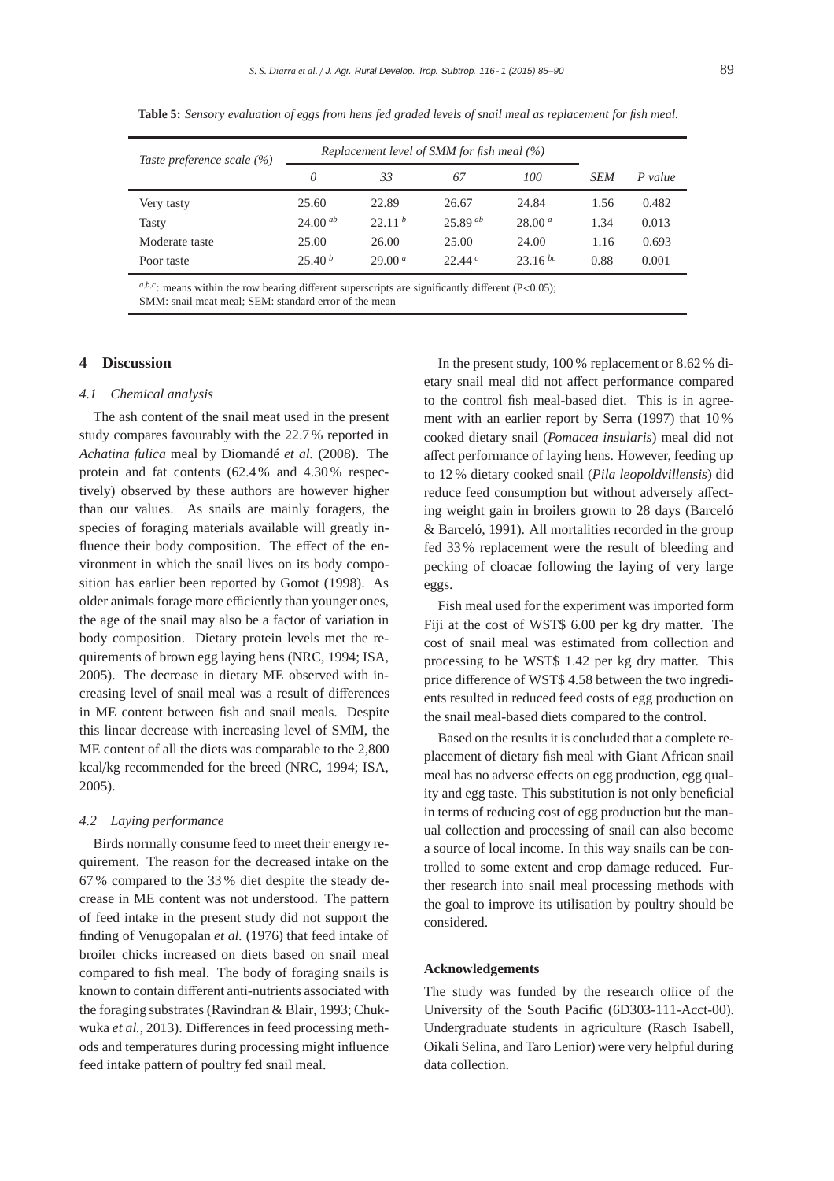| Taste preference scale (%) |                    |                    | Replacement level of SMM for fish meal (%) |                    |            |         |
|----------------------------|--------------------|--------------------|--------------------------------------------|--------------------|------------|---------|
|                            | 0                  | 33                 | 67                                         | 100                | <b>SEM</b> | P value |
| Very tasty                 | 25.60              | 22.89              | 26.67                                      | 24.84              | 1.56       | 0.482   |
| <b>Tasty</b>               | $24.00^{ab}$       | 22.11 <sup>b</sup> | $25.89^{ab}$                               | 28.00 <sup>a</sup> | 1.34       | 0.013   |
| Moderate taste             | 25.00              | 26.00              | 25.00                                      | 24.00              | 1.16       | 0.693   |
| Poor taste                 | 25.40 <sup>b</sup> | 29.00 <sup>a</sup> | 22.44c                                     | 23.16 bc           | 0.88       | 0.001   |

**Table 5:** *Sensory evaluation of eggs from hens fed graded levels of snail meal as replacement for fish meal.*

 $a,b,c$ ; means within the row bearing different superscripts are significantly different (P<0.05); SMM: snail meat meal; SEM: standard error of the mean

# **4 Discussion**

## *4.1 Chemical analysis*

The ash content of the snail meat used in the present study compares favourably with the 22.7 % reported in *Achatina fulica* meal by Diomandé *et al.* (2008). The protein and fat contents (62.4 % and 4.30 % respectively) observed by these authors are however higher than our values. As snails are mainly foragers, the species of foraging materials available will greatly influence their body composition. The effect of the environment in which the snail lives on its body composition has earlier been reported by Gomot (1998). As older animals forage more efficiently than younger ones, the age of the snail may also be a factor of variation in body composition. Dietary protein levels met the requirements of brown egg laying hens (NRC, 1994; ISA, 2005). The decrease in dietary ME observed with increasing level of snail meal was a result of differences in ME content between fish and snail meals. Despite this linear decrease with increasing level of SMM, the ME content of all the diets was comparable to the 2,800 kcal/kg recommended for the breed (NRC, 1994; ISA, 2005).

#### *4.2 Laying performance*

Birds normally consume feed to meet their energy requirement. The reason for the decreased intake on the 67 % compared to the 33 % diet despite the steady decrease in ME content was not understood. The pattern of feed intake in the present study did not support the finding of Venugopalan *et al.* (1976) that feed intake of broiler chicks increased on diets based on snail meal compared to fish meal. The body of foraging snails is known to contain different anti-nutrients associated with the foraging substrates (Ravindran & Blair, 1993; Chukwuka *et al.*, 2013). Differences in feed processing methods and temperatures during processing might influence feed intake pattern of poultry fed snail meal.

In the present study, 100 % replacement or 8.62 % dietary snail meal did not affect performance compared to the control fish meal-based diet. This is in agreement with an earlier report by Serra (1997) that 10 % cooked dietary snail (*Pomacea insularis*) meal did not affect performance of laying hens. However, feeding up to 12 % dietary cooked snail (*Pila leopoldvillensis*) did reduce feed consumption but without adversely affecting weight gain in broilers grown to 28 days (Barceló & Barceló, 1991). All mortalities recorded in the group fed 33 % replacement were the result of bleeding and pecking of cloacae following the laying of very large eggs.

Fish meal used for the experiment was imported form Fiji at the cost of WST\$ 6.00 per kg dry matter. The cost of snail meal was estimated from collection and processing to be WST\$ 1.42 per kg dry matter. This price difference of WST\$ 4.58 between the two ingredients resulted in reduced feed costs of egg production on the snail meal-based diets compared to the control.

Based on the results it is concluded that a complete replacement of dietary fish meal with Giant African snail meal has no adverse effects on egg production, egg quality and egg taste. This substitution is not only beneficial in terms of reducing cost of egg production but the manual collection and processing of snail can also become a source of local income. In this way snails can be controlled to some extent and crop damage reduced. Further research into snail meal processing methods with the goal to improve its utilisation by poultry should be considered.

#### **Acknowledgements**

The study was funded by the research office of the University of the South Pacific (6D303-111-Acct-00). Undergraduate students in agriculture (Rasch Isabell, Oikali Selina, and Taro Lenior) were very helpful during data collection.